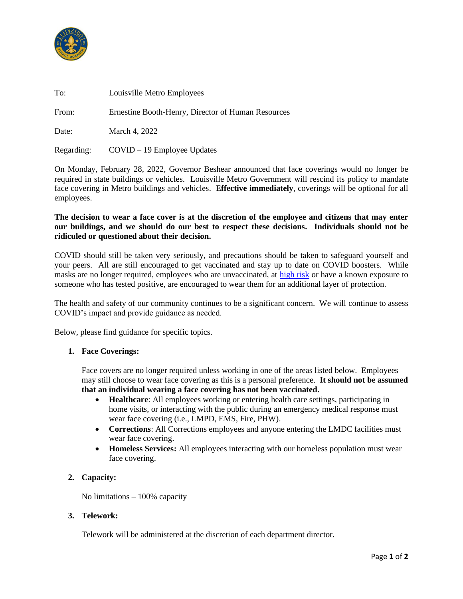

| To:   | Louisville Metro Employees                         |
|-------|----------------------------------------------------|
| From: | Ernestine Booth-Henry, Director of Human Resources |
| Date: | March 4, 2022                                      |

On Monday, February 28, 2022, Governor Beshear announced that face coverings would no longer be required in state buildings or vehicles. Louisville Metro Government will rescind its policy to mandate face covering in Metro buildings and vehicles. E**ffective immediately**, coverings will be optional for all employees.

## **The decision to wear a face cover is at the discretion of the employee and citizens that may enter our buildings, and we should do our best to respect these decisions. Individuals should not be ridiculed or questioned about their decision.**

COVID should still be taken very seriously, and precautions should be taken to safeguard yourself and your peers. All are still encouraged to get vaccinated and stay up to date on COVID boosters. While masks are no longer required, employees who are unvaccinated, at [high risk](https://www.cdc.gov/coronavirus/2019-ncov/need-extra-precautions/people-with-medical-conditions.html) or have a known exposure to someone who has tested positive, are encouraged to wear them for an additional layer of protection.

The health and safety of our community continues to be a significant concern. We will continue to assess COVID's impact and provide guidance as needed.

Below, please find guidance for specific topics.

Regarding: COVID – 19 Employee Updates

## **1. Face Coverings:**

Face covers are no longer required unless working in one of the areas listed below. Employees may still choose to wear face covering as this is a personal preference. **It should not be assumed that an individual wearing a face covering has not been vaccinated.**

- **Healthcare**: All employees working or entering health care settings, participating in home visits, or interacting with the public during an emergency medical response must wear face covering (i.e., LMPD, EMS, Fire, PHW).
- **Corrections:** All Corrections employees and anyone entering the LMDC facilities must wear face covering.
- **Homeless Services:** All employees interacting with our homeless population must wear face covering.

## **2. Capacity:**

No limitations – 100% capacity

#### **3. Telework:**

Telework will be administered at the discretion of each department director.